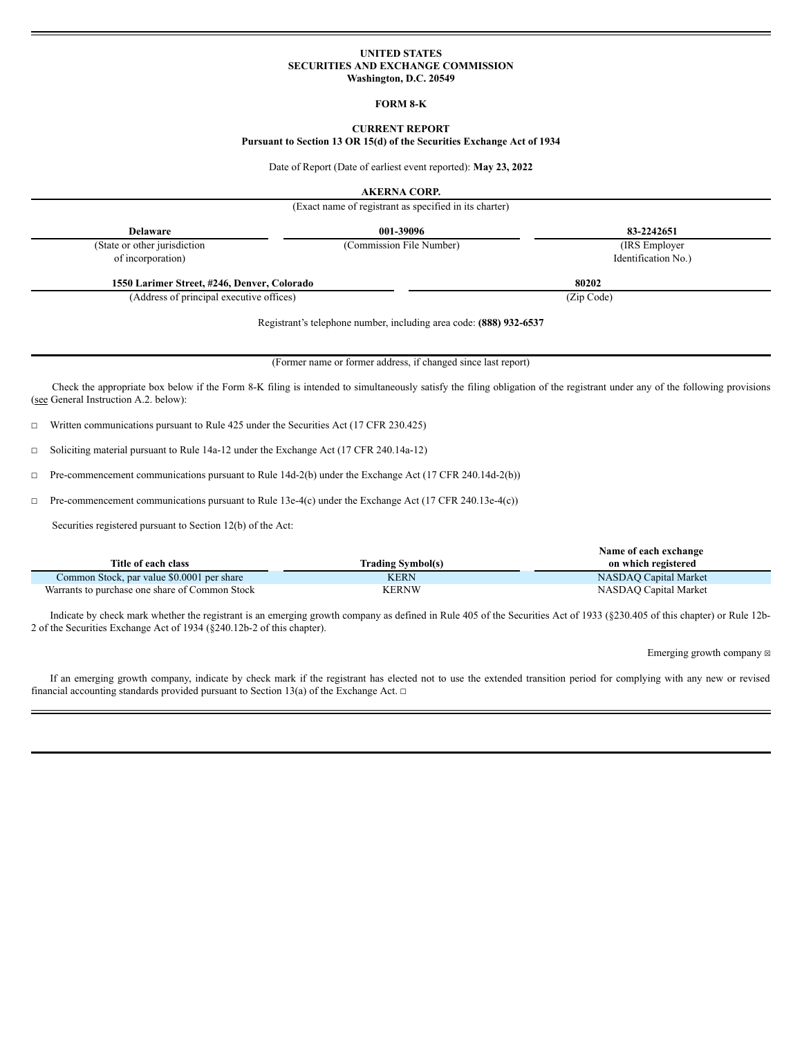## **UNITED STATES SECURITIES AND EXCHANGE COMMISSION Washington, D.C. 20549**

#### **FORM 8-K**

# **CURRENT REPORT**

**Pursuant to Section 13 OR 15(d) of the Securities Exchange Act of 1934**

Date of Report (Date of earliest event reported): **May 23, 2022**

**AKERNA CORP.**

|                                                                                                 | (Exact name of registrant as specified in its charter)             |                                                                                                                                                                            |
|-------------------------------------------------------------------------------------------------|--------------------------------------------------------------------|----------------------------------------------------------------------------------------------------------------------------------------------------------------------------|
| <b>Delaware</b>                                                                                 | 001-39096                                                          | 83-2242651                                                                                                                                                                 |
| (State or other jurisdiction<br>of incorporation)                                               | (Commission File Number)                                           | (IRS Employer)<br>Identification No.)                                                                                                                                      |
| 1550 Larimer Street, #246, Denver, Colorado                                                     |                                                                    | 80202                                                                                                                                                                      |
| (Address of principal executive offices)                                                        |                                                                    | (Zip Code)                                                                                                                                                                 |
|                                                                                                 | Registrant's telephone number, including area code: (888) 932-6537 |                                                                                                                                                                            |
|                                                                                                 | (Former name or former address, if changed since last report)      |                                                                                                                                                                            |
| (see General Instruction A.2. below):                                                           |                                                                    | Check the appropriate box below if the Form 8-K filing is intended to simultaneously satisfy the filing obligation of the registrant under any of the following provisions |
| Written communications pursuant to Rule 425 under the Securities Act (17 CFR 230.425)<br>$\Box$ |                                                                    |                                                                                                                                                                            |

☐ Soliciting material pursuant to Rule 14a-12 under the Exchange Act (17 CFR 240.14a-12)

☐ Pre-commencement communications pursuant to Rule 14d-2(b) under the Exchange Act (17 CFR 240.14d-2(b))

☐ Pre-commencement communications pursuant to Rule 13e-4(c) under the Exchange Act (17 CFR 240.13e-4(c))

Securities registered pursuant to Section 12(b) of the Act:

|                                                |                          | Name of each exchange |
|------------------------------------------------|--------------------------|-----------------------|
| Title of each class                            | <b>Trading Symbol(s)</b> | on which registered   |
| Common Stock, par value \$0.0001 per share     | <b>KERN</b>              | NASDAO Capital Market |
| Warrants to purchase one share of Common Stock | <b>KERNW</b>             | NASDAO Capital Market |

Indicate by check mark whether the registrant is an emerging growth company as defined in Rule 405 of the Securities Act of 1933 (§230.405 of this chapter) or Rule 12b-2 of the Securities Exchange Act of 1934 (§240.12b-2 of this chapter).

Emerging growth company  $\boxtimes$ 

If an emerging growth company, indicate by check mark if the registrant has elected not to use the extended transition period for complying with any new or revised financial accounting standards provided pursuant to Section 13(a) of the Exchange Act.  $□$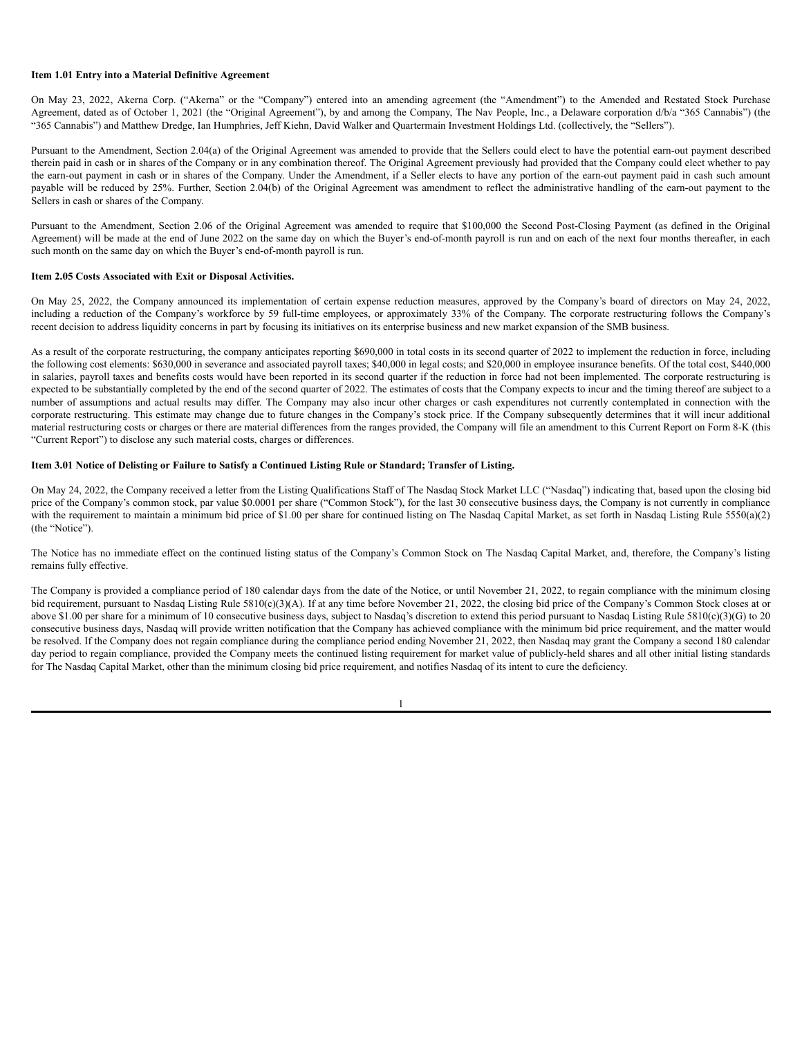#### **Item 1.01 Entry into a Material Definitive Agreement**

On May 23, 2022, Akerna Corp. ("Akerna" or the "Company") entered into an amending agreement (the "Amendment") to the Amended and Restated Stock Purchase Agreement, dated as of October 1, 2021 (the "Original Agreement"), by and among the Company, The Nav People, Inc., a Delaware corporation d/b/a "365 Cannabis") (the "365 Cannabis") and Matthew Dredge, Ian Humphries, Jeff Kiehn, David Walker and Quartermain Investment Holdings Ltd. (collectively, the "Sellers").

Pursuant to the Amendment, Section 2.04(a) of the Original Agreement was amended to provide that the Sellers could elect to have the potential earn-out payment described therein paid in cash or in shares of the Company or in any combination thereof. The Original Agreement previously had provided that the Company could elect whether to pay the earn-out payment in cash or in shares of the Company. Under the Amendment, if a Seller elects to have any portion of the earn-out payment paid in cash such amount payable will be reduced by 25%. Further, Section 2.04(b) of the Original Agreement was amendment to reflect the administrative handling of the earn-out payment to the Sellers in cash or shares of the Company.

Pursuant to the Amendment, Section 2.06 of the Original Agreement was amended to require that \$100,000 the Second Post-Closing Payment (as defined in the Original Agreement) will be made at the end of June 2022 on the same day on which the Buyer's end-of-month payroll is run and on each of the next four months thereafter, in each such month on the same day on which the Buyer's end-of-month payroll is run.

#### **Item 2.05 Costs Associated with Exit or Disposal Activities.**

On May 25, 2022, the Company announced its implementation of certain expense reduction measures, approved by the Company's board of directors on May 24, 2022, including a reduction of the Company's workforce by 59 full-time employees, or approximately 33% of the Company. The corporate restructuring follows the Company's recent decision to address liquidity concerns in part by focusing its initiatives on its enterprise business and new market expansion of the SMB business.

As a result of the corporate restructuring, the company anticipates reporting \$690,000 in total costs in its second quarter of 2022 to implement the reduction in force, including the following cost elements: \$630,000 in severance and associated payroll taxes; \$40,000 in legal costs; and \$20,000 in employee insurance benefits. Of the total cost, \$440,000 in salaries, payroll taxes and benefits costs would have been reported in its second quarter if the reduction in force had not been implemented. The corporate restructuring is expected to be substantially completed by the end of the second quarter of 2022. The estimates of costs that the Company expects to incur and the timing thereof are subject to a number of assumptions and actual results may differ. The Company may also incur other charges or cash expenditures not currently contemplated in connection with the corporate restructuring. This estimate may change due to future changes in the Company's stock price. If the Company subsequently determines that it will incur additional material restructuring costs or charges or there are material differences from the ranges provided, the Company will file an amendment to this Current Report on Form 8-K (this "Current Report") to disclose any such material costs, charges or differences.

## Item 3.01 Notice of Delisting or Failure to Satisfy a Continued Listing Rule or Standard; Transfer of Listing.

On May 24, 2022, the Company received a letter from the Listing Qualifications Staff of The Nasdaq Stock Market LLC ("Nasdaq") indicating that, based upon the closing bid price of the Company's common stock, par value \$0.0001 per share ("Common Stock"), for the last 30 consecutive business days, the Company is not currently in compliance with the requirement to maintain a minimum bid price of \$1.00 per share for continued listing on The Nasdaq Capital Market, as set forth in Nasdaq Listing Rule 5550(a)(2) (the "Notice").

The Notice has no immediate effect on the continued listing status of the Company's Common Stock on The Nasdaq Capital Market, and, therefore, the Company's listing remains fully effective.

The Company is provided a compliance period of 180 calendar days from the date of the Notice, or until November 21, 2022, to regain compliance with the minimum closing bid requirement, pursuant to Nasdaq Listing Rule 5810(c)(3)(A). If at any time before November 21, 2022, the closing bid price of the Company's Common Stock closes at or above \$1.00 per share for a minimum of 10 consecutive business days, subject to Nasdaq's discretion to extend this period pursuant to Nasdaq Listing Rule 5810(c)(3)(G) to 20 consecutive business days, Nasdaq will provide written notification that the Company has achieved compliance with the minimum bid price requirement, and the matter would be resolved. If the Company does not regain compliance during the compliance period ending November 21, 2022, then Nasdaq may grant the Company a second 180 calendar day period to regain compliance, provided the Company meets the continued listing requirement for market value of publicly-held shares and all other initial listing standards for The Nasdaq Capital Market, other than the minimum closing bid price requirement, and notifies Nasdaq of its intent to cure the deficiency.

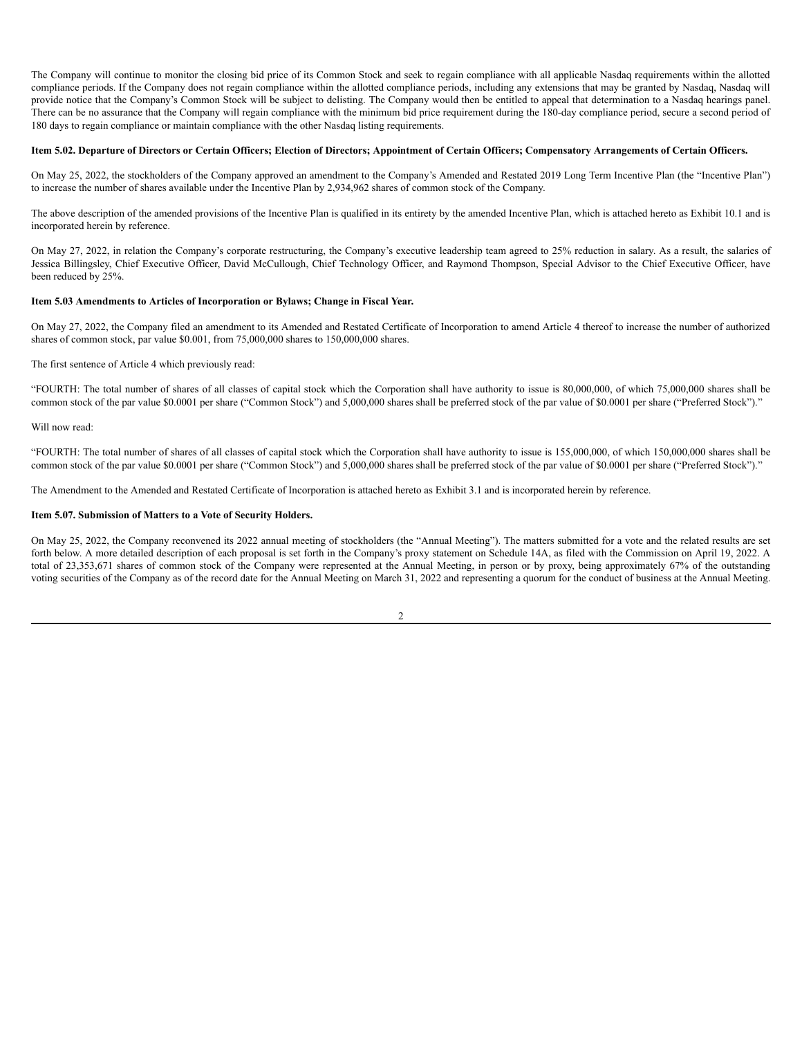The Company will continue to monitor the closing bid price of its Common Stock and seek to regain compliance with all applicable Nasdaq requirements within the allotted compliance periods. If the Company does not regain compliance within the allotted compliance periods, including any extensions that may be granted by Nasdaq, Nasdaq will provide notice that the Company's Common Stock will be subject to delisting. The Company would then be entitled to appeal that determination to a Nasdaq hearings panel. There can be no assurance that the Company will regain compliance with the minimum bid price requirement during the 180-day compliance period, secure a second period of 180 days to regain compliance or maintain compliance with the other Nasdaq listing requirements.

## Item 5.02. Departure of Directors or Certain Officers; Election of Directors; Appointment of Certain Officers; Compensatory Arrangements of Certain Officers.

On May 25, 2022, the stockholders of the Company approved an amendment to the Company's Amended and Restated 2019 Long Term Incentive Plan (the "Incentive Plan") to increase the number of shares available under the Incentive Plan by 2,934,962 shares of common stock of the Company.

The above description of the amended provisions of the Incentive Plan is qualified in its entirety by the amended Incentive Plan, which is attached hereto as Exhibit 10.1 and is incorporated herein by reference.

On May 27, 2022, in relation the Company's corporate restructuring, the Company's executive leadership team agreed to 25% reduction in salary. As a result, the salaries of Jessica Billingsley, Chief Executive Officer, David McCullough, Chief Technology Officer, and Raymond Thompson, Special Advisor to the Chief Executive Officer, have been reduced by 25%.

## **Item 5.03 Amendments to Articles of Incorporation or Bylaws; Change in Fiscal Year.**

On May 27, 2022, the Company filed an amendment to its Amended and Restated Certificate of Incorporation to amend Article 4 thereof to increase the number of authorized shares of common stock, par value \$0.001, from 75,000,000 shares to 150,000,000 shares.

The first sentence of Article 4 which previously read:

"FOURTH: The total number of shares of all classes of capital stock which the Corporation shall have authority to issue is 80,000,000, of which 75,000,000 shares shall be common stock of the par value \$0.0001 per share ("Common Stock") and 5,000,000 shares shall be preferred stock of the par value of \$0.0001 per share ("Preferred Stock")."

Will now read:

"FOURTH: The total number of shares of all classes of capital stock which the Corporation shall have authority to issue is 155,000,000, of which 150,000,000 shares shall be common stock of the par value \$0.0001 per share ("Common Stock") and 5,000,000 shares shall be preferred stock of the par value of \$0.0001 per share ("Preferred Stock")."

The Amendment to the Amended and Restated Certificate of Incorporation is attached hereto as Exhibit 3.1 and is incorporated herein by reference.

### **Item 5.07. Submission of Matters to a Vote of Security Holders.**

On May 25, 2022, the Company reconvened its 2022 annual meeting of stockholders (the "Annual Meeting"). The matters submitted for a vote and the related results are set forth below. A more detailed description of each proposal is set forth in the Company's proxy statement on Schedule 14A, as filed with the Commission on April 19, 2022. A total of 23,353,671 shares of common stock of the Company were represented at the Annual Meeting, in person or by proxy, being approximately 67% of the outstanding voting securities of the Company as of the record date for the Annual Meeting on March 31, 2022 and representing a quorum for the conduct of business at the Annual Meeting.

 $\mathcal{L}$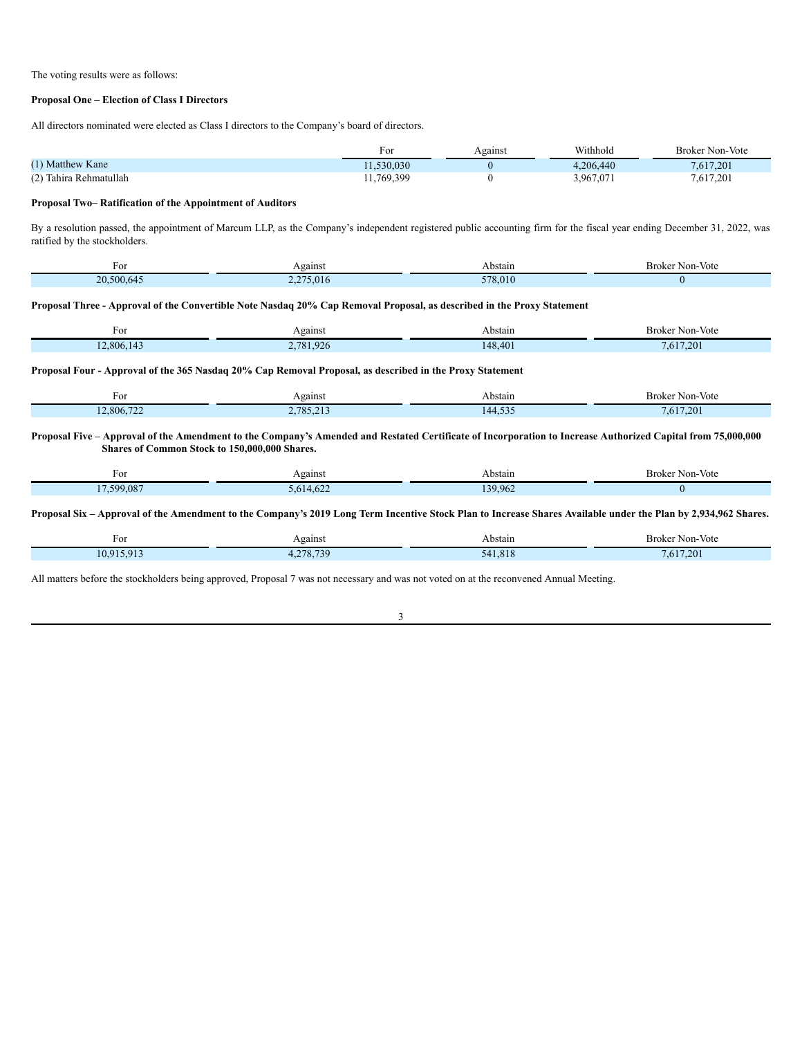The voting results were as follows:

# **Proposal One – Election of Class I Directors**

All directors nominated were elected as Class I directors to the Company's board of directors.

|                        | For        | Against | Withhold  | <b>Broker Non-Vote</b> |
|------------------------|------------|---------|-----------|------------------------|
| (1) Matthew Kane       | 11.530.030 |         | 1.206.440 | 7,617,201              |
| (2) Tahira Rehmatullah | 11,769,399 |         | 3,967,071 | 7,617,201              |

## **Proposal Two– Ratification of the Appointment of Auditors**

By a resolution passed, the appointment of Marcum LLP, as the Company's independent registered public accounting firm for the fiscal year ending December 31, 2022, was ratified by the stockholders.

| F OI                    | Against | Abstain                                      | Non-Vote<br>Broker |
|-------------------------|---------|----------------------------------------------|--------------------|
| 500.64<br>$\mathcal{L}$ | 5.01    | $\sim$ $\sim$ $\sim$<br>$\sim$ $\sim$ $\sim$ |                    |

## Proposal Three - Approval of the Convertible Note Nasdaq 20% Cap Removal Proposal, as described in the Proxy Statement

| гoі       | Against       | Abstain | Non-Vote<br>Broker |
|-----------|---------------|---------|--------------------|
| 2.806.143 | ,781,926<br>- | 148,401 | 7.201<br>7.617     |
|           |               |         |                    |

# Proposal Four - Approval of the 365 Nasdaq 20% Cap Removal Proposal, as described in the Proxy Statement

| For        | Against          | Abstain             | Broker<br>Mon-Vote<br>$\sim$ $\sim$ $\sim$ |
|------------|------------------|---------------------|--------------------------------------------|
| 12.806.722 | 705212<br>0.7.41 | 525<br>144<br>ヿ、┙┙。 | .617.201                                   |

### Proposal Five – Approval of the Amendment to the Company's Amended and Restated Certificate of Incorporation to Increase Authorized Capital from 75,000,000 **Shares of Common Stock to 150,000,000 Shares.**

| FОI                | Against                      | Abstain | Broker Non-Vote |
|--------------------|------------------------------|---------|-----------------|
| .599.087<br>$\sim$ | $\sim$<br><b>1.022</b><br>h. | 39.962  |                 |

## Proposal Six - Approval of the Amendment to the Company's 2019 Long Term Incentive Stock Plan to Increase Shares Available under the Plan by 2,934,962 Shares.

| For                      | Against    | Abstain | Non-Vote<br>Broker |
|--------------------------|------------|---------|--------------------|
| $10.915.91$ <sup>*</sup> | 730<br>270 | 541.818 | 7.201<br>.61       |

All matters before the stockholders being approved, Proposal 7 was not necessary and was not voted on at the reconvened Annual Meeting.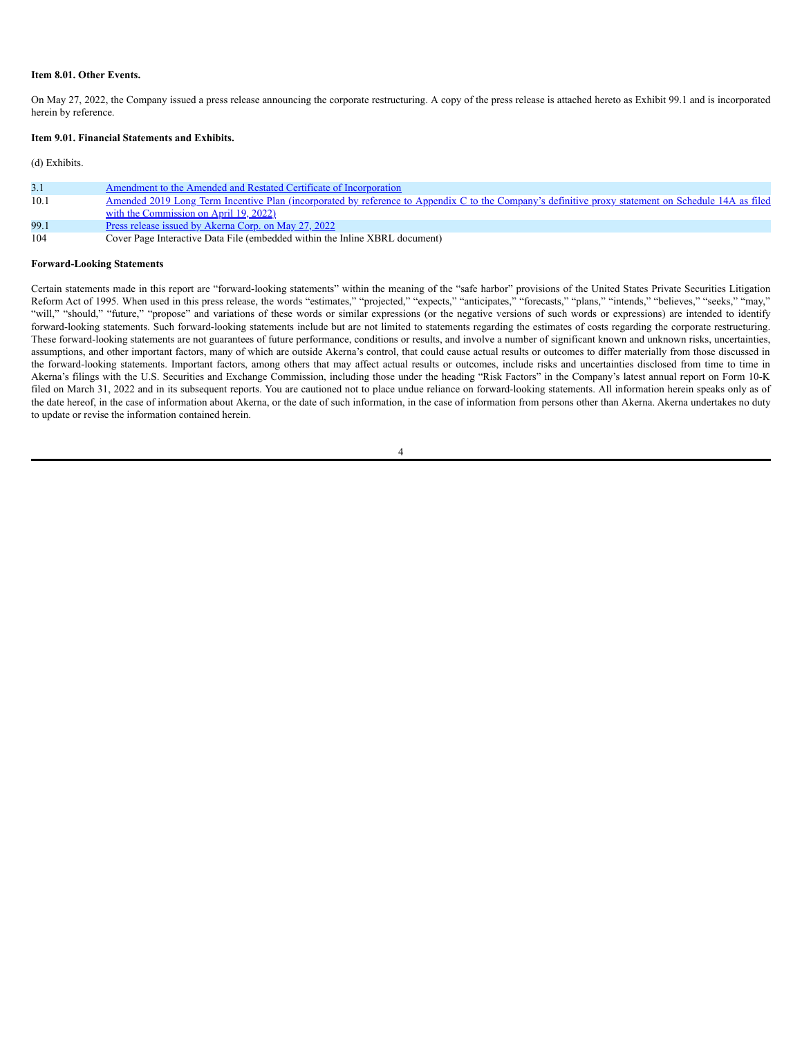### **Item 8.01. Other Events.**

On May 27, 2022, the Company issued a press release announcing the corporate restructuring. A copy of the press release is attached hereto as Exhibit 99.1 and is incorporated herein by reference.

### **Item 9.01. Financial Statements and Exhibits.**

#### (d) Exhibits.

| 3.1  | Amendment to the Amended and Restated Certificate of Incorporation                                                                                         |
|------|------------------------------------------------------------------------------------------------------------------------------------------------------------|
| 10.1 | <u>Amended 2019 Long Term Incentive Plan (incorporated by reference to Appendix C to the Company's definitive proxy statement on Schedule 14A as filed</u> |
|      | with the Commission on April 19, 2022)                                                                                                                     |
| 99.1 | <u>Press release issued by Akerna Corp. on May 27, 2022</u>                                                                                                |
| 104  | Cover Page Interactive Data File (embedded within the Inline XBRL document)                                                                                |

#### **Forward-Looking Statements**

Certain statements made in this report are "forward-looking statements" within the meaning of the "safe harbor" provisions of the United States Private Securities Litigation Reform Act of 1995. When used in this press release, the words "estimates," "projected," "expects," "anticipates," "forecasts," "plans," "intends," "believes," "seeks," "may," "will," "should," "future," "propose" and variations of these words or similar expressions (or the negative versions of such words or expressions) are intended to identify forward-looking statements. Such forward-looking statements include but are not limited to statements regarding the estimates of costs regarding the corporate restructuring. These forward-looking statements are not guarantees of future performance, conditions or results, and involve a number of significant known and unknown risks, uncertainties, assumptions, and other important factors, many of which are outside Akerna's control, that could cause actual results or outcomes to differ materially from those discussed in the forward-looking statements. Important factors, among others that may affect actual results or outcomes, include risks and uncertainties disclosed from time to time in Akerna's filings with the U.S. Securities and Exchange Commission, including those under the heading "Risk Factors" in the Company's latest annual report on Form 10-K filed on March 31, 2022 and in its subsequent reports. You are cautioned not to place undue reliance on forward-looking statements. All information herein speaks only as of the date hereof, in the case of information about Akerna, or the date of such information, in the case of information from persons other than Akerna. Akerna undertakes no duty to update or revise the information contained herein.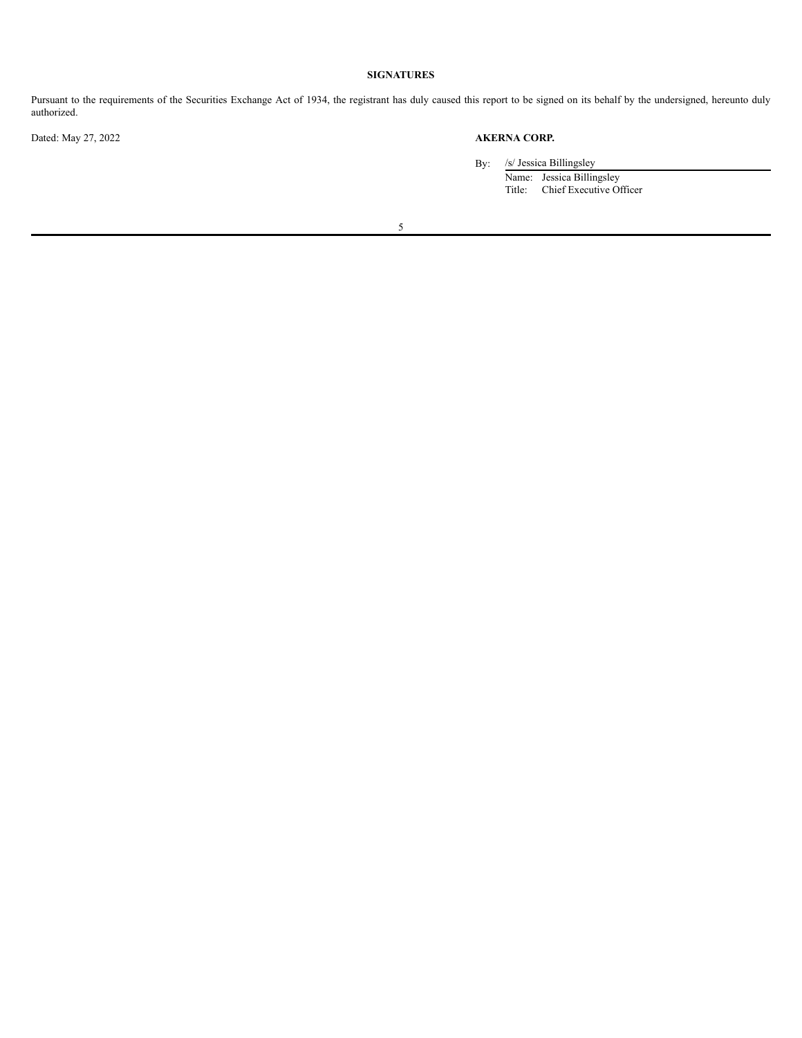# **SIGNATURES**

Pursuant to the requirements of the Securities Exchange Act of 1934, the registrant has duly caused this report to be signed on its behalf by the undersigned, hereunto duly authorized.

# Dated: May 27, 2022 **AKERNA CORP.**

By: /s/ Jessica Billingsley

Name: Jessica Billingsley Title: Chief Executive Officer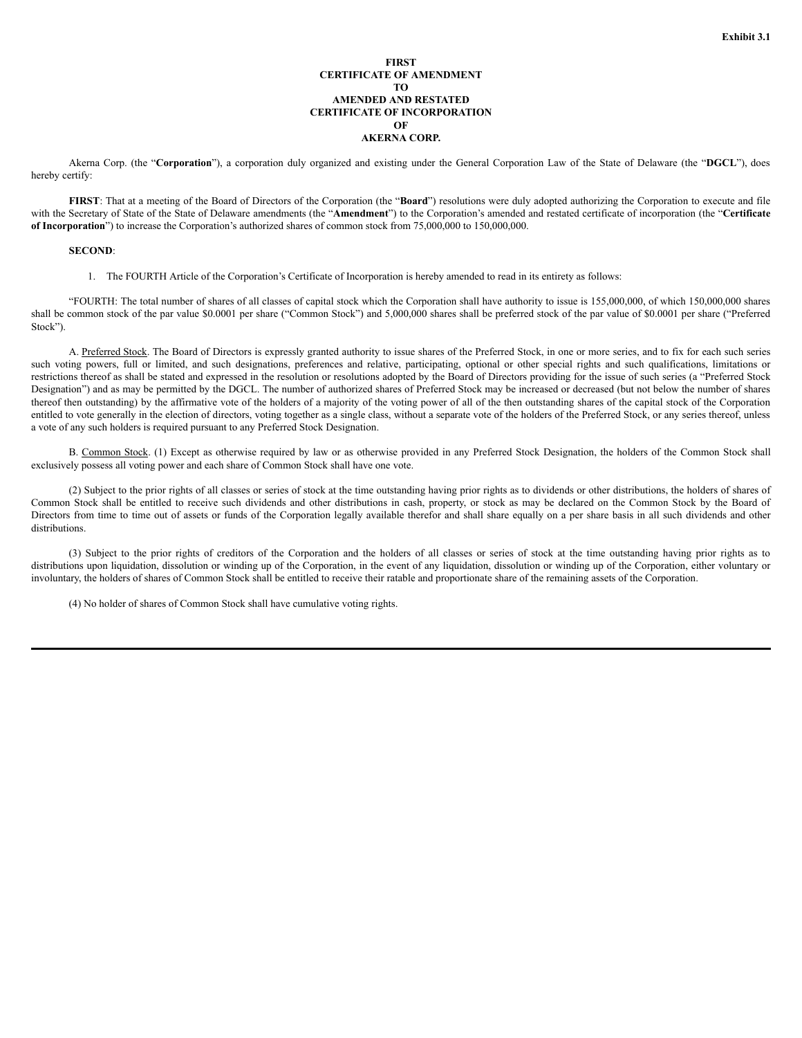## **FIRST CERTIFICATE OF AMENDMENT TO AMENDED AND RESTATED CERTIFICATE OF INCORPORATION OF AKERNA CORP.**

Akerna Corp. (the "**Corporation**"), a corporation duly organized and existing under the General Corporation Law of the State of Delaware (the "**DGCL**"), does hereby certify:

**FIRST**: That at a meeting of the Board of Directors of the Corporation (the "**Board**") resolutions were duly adopted authorizing the Corporation to execute and file with the Secretary of State of the State of Delaware amendments (the "**Amendment**") to the Corporation's amended and restated certificate of incorporation (the "**Certificate of Incorporation**") to increase the Corporation's authorized shares of common stock from 75,000,000 to 150,000,000.

#### **SECOND**:

1. The FOURTH Article of the Corporation's Certificate of Incorporation is hereby amended to read in its entirety as follows:

"FOURTH: The total number of shares of all classes of capital stock which the Corporation shall have authority to issue is 155,000,000, of which 150,000,000 shares shall be common stock of the par value \$0.0001 per share ("Common Stock") and 5,000,000 shares shall be preferred stock of the par value of \$0.0001 per share ("Preferred Stock").

A. Preferred Stock. The Board of Directors is expressly granted authority to issue shares of the Preferred Stock, in one or more series, and to fix for each such series such voting powers, full or limited, and such designations, preferences and relative, participating, optional or other special rights and such qualifications, limitations or restrictions thereof as shall be stated and expressed in the resolution or resolutions adopted by the Board of Directors providing for the issue of such series (a "Preferred Stock Designation") and as may be permitted by the DGCL. The number of authorized shares of Preferred Stock may be increased or decreased (but not below the number of shares thereof then outstanding) by the affirmative vote of the holders of a majority of the voting power of all of the then outstanding shares of the capital stock of the Corporation entitled to vote generally in the election of directors, voting together as a single class, without a separate vote of the holders of the Preferred Stock, or any series thereof, unless a vote of any such holders is required pursuant to any Preferred Stock Designation.

B. Common Stock. (1) Except as otherwise required by law or as otherwise provided in any Preferred Stock Designation, the holders of the Common Stock shall exclusively possess all voting power and each share of Common Stock shall have one vote.

(2) Subject to the prior rights of all classes or series of stock at the time outstanding having prior rights as to dividends or other distributions, the holders of shares of Common Stock shall be entitled to receive such dividends and other distributions in cash, property, or stock as may be declared on the Common Stock by the Board of Directors from time to time out of assets or funds of the Corporation legally available therefor and shall share equally on a per share basis in all such dividends and other distributions.

(3) Subject to the prior rights of creditors of the Corporation and the holders of all classes or series of stock at the time outstanding having prior rights as to distributions upon liquidation, dissolution or winding up of the Corporation, in the event of any liquidation, dissolution or winding up of the Corporation, either voluntary or involuntary, the holders of shares of Common Stock shall be entitled to receive their ratable and proportionate share of the remaining assets of the Corporation.

(4) No holder of shares of Common Stock shall have cumulative voting rights.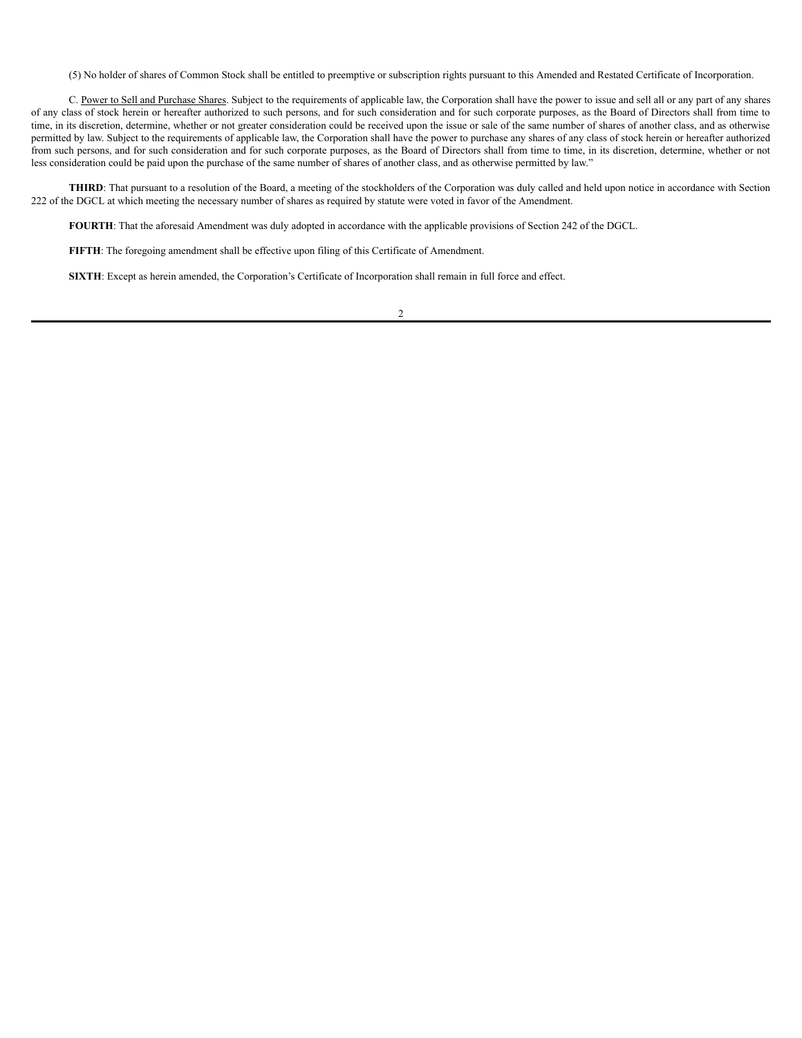(5) No holder of shares of Common Stock shall be entitled to preemptive or subscription rights pursuant to this Amended and Restated Certificate of Incorporation.

C. Power to Sell and Purchase Shares. Subject to the requirements of applicable law, the Corporation shall have the power to issue and sell all or any part of any shares of any class of stock herein or hereafter authorized to such persons, and for such consideration and for such corporate purposes, as the Board of Directors shall from time to time, in its discretion, determine, whether or not greater consideration could be received upon the issue or sale of the same number of shares of another class, and as otherwise permitted by law. Subject to the requirements of applicable law, the Corporation shall have the power to purchase any shares of any class of stock herein or hereafter authorized from such persons, and for such consideration and for such corporate purposes, as the Board of Directors shall from time to time, in its discretion, determine, whether or not less consideration could be paid upon the purchase of the same number of shares of another class, and as otherwise permitted by law."

**THIRD**: That pursuant to a resolution of the Board, a meeting of the stockholders of the Corporation was duly called and held upon notice in accordance with Section 222 of the DGCL at which meeting the necessary number of shares as required by statute were voted in favor of the Amendment.

**FOURTH**: That the aforesaid Amendment was duly adopted in accordance with the applicable provisions of Section 242 of the DGCL.

**FIFTH**: The foregoing amendment shall be effective upon filing of this Certificate of Amendment.

**SIXTH**: Except as herein amended, the Corporation's Certificate of Incorporation shall remain in full force and effect.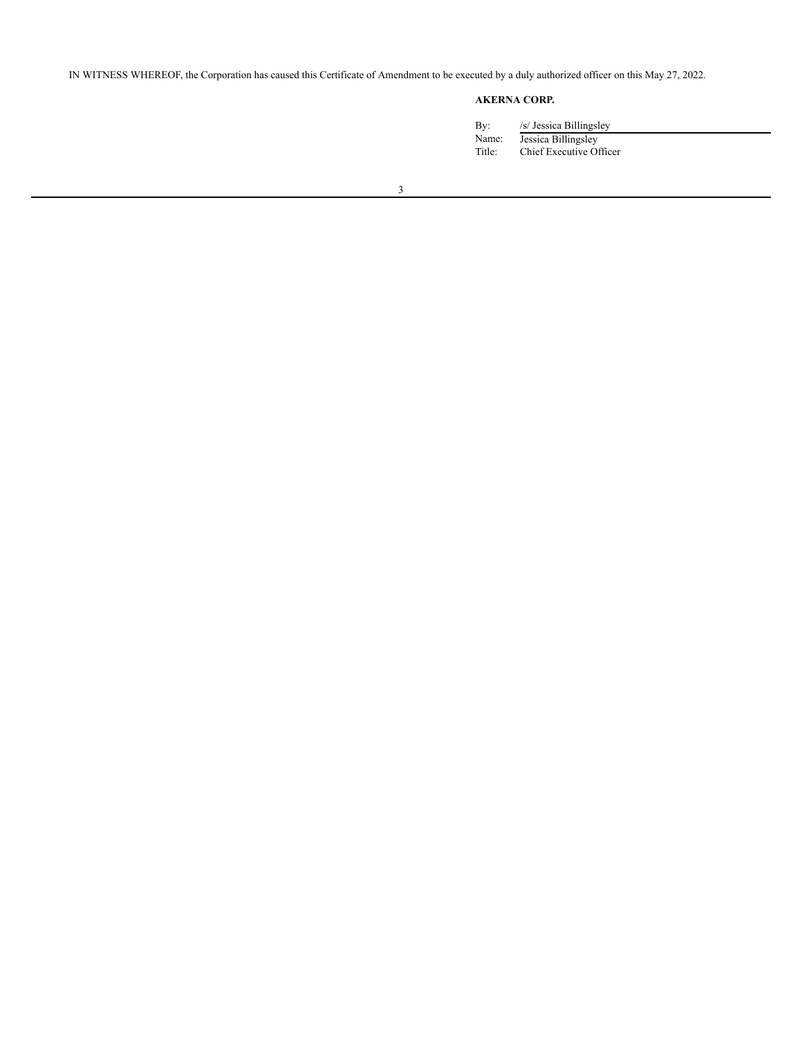IN WITNESS WHEREOF, the Corporation has caused this Certificate of Amendment to be executed by a duly authorized officer on this May 27, 2022.

# **AKERNA CORP.**

| /s/ Jessica Billingsley                        |
|------------------------------------------------|
| Jessica Billingsley<br>Chief Executive Officer |
|                                                |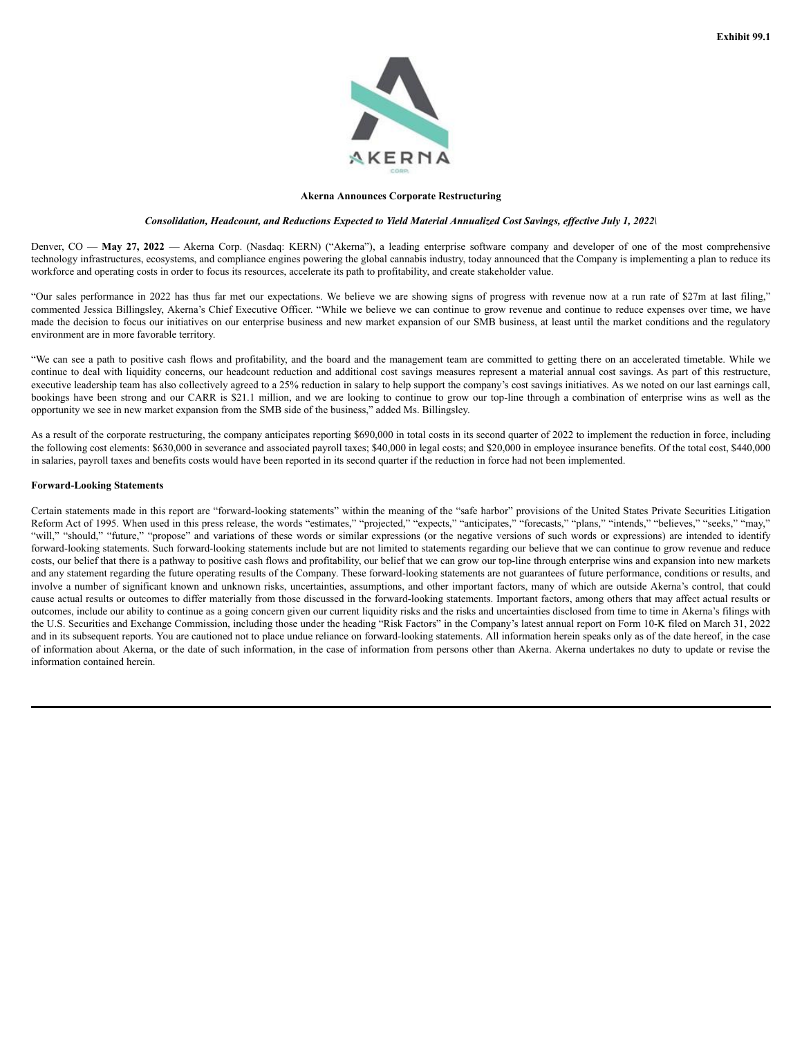

#### **Akerna Announces Corporate Restructuring**

#### Consolidation, Headcount, and Reductions Expected to Yield Material Annualized Cost Savings, effective July 1, 2022\

Denver, CO — **May 27, 2022** — Akerna Corp. (Nasdaq: KERN) ("Akerna"), a leading enterprise software company and developer of one of the most comprehensive technology infrastructures, ecosystems, and compliance engines powering the global cannabis industry, today announced that the Company is implementing a plan to reduce its workforce and operating costs in order to focus its resources, accelerate its path to profitability, and create stakeholder value.

"Our sales performance in 2022 has thus far met our expectations. We believe we are showing signs of progress with revenue now at a run rate of \$27m at last filing," commented Jessica Billingsley, Akerna's Chief Executive Officer. "While we believe we can continue to grow revenue and continue to reduce expenses over time, we have made the decision to focus our initiatives on our enterprise business and new market expansion of our SMB business, at least until the market conditions and the regulatory environment are in more favorable territory.

"We can see a path to positive cash flows and profitability, and the board and the management team are committed to getting there on an accelerated timetable. While we continue to deal with liquidity concerns, our headcount reduction and additional cost savings measures represent a material annual cost savings. As part of this restructure, executive leadership team has also collectively agreed to a 25% reduction in salary to help support the company's cost savings initiatives. As we noted on our last earnings call, bookings have been strong and our CARR is \$21.1 million, and we are looking to continue to grow our top-line through a combination of enterprise wins as well as the opportunity we see in new market expansion from the SMB side of the business," added Ms. Billingsley.

As a result of the corporate restructuring, the company anticipates reporting \$690,000 in total costs in its second quarter of 2022 to implement the reduction in force, including the following cost elements: \$630,000 in severance and associated payroll taxes; \$40,000 in legal costs; and \$20,000 in employee insurance benefits. Of the total cost, \$440,000 in salaries, payroll taxes and benefits costs would have been reported in its second quarter if the reduction in force had not been implemented.

#### **Forward-Looking Statements**

Certain statements made in this report are "forward-looking statements" within the meaning of the "safe harbor" provisions of the United States Private Securities Litigation Reform Act of 1995. When used in this press release, the words "estimates," "projected," "expects," "anticipates," "forecasts," "plans," "intends," "believes," "seeks," "may," "will," "should," "future," "propose" and variations of these words or similar expressions (or the negative versions of such words or expressions) are intended to identify forward-looking statements. Such forward-looking statements include but are not limited to statements regarding our believe that we can continue to grow revenue and reduce costs, our belief that there is a pathway to positive cash flows and profitability, our belief that we can grow our top-line through enterprise wins and expansion into new markets and any statement regarding the future operating results of the Company. These forward-looking statements are not guarantees of future performance, conditions or results, and involve a number of significant known and unknown risks, uncertainties, assumptions, and other important factors, many of which are outside Akerna's control, that could cause actual results or outcomes to differ materially from those discussed in the forward-looking statements. Important factors, among others that may affect actual results or outcomes, include our ability to continue as a going concern given our current liquidity risks and the risks and uncertainties disclosed from time to time in Akerna's filings with the U.S. Securities and Exchange Commission, including those under the heading "Risk Factors" in the Company's latest annual report on Form 10-K filed on March 31, 2022 and in its subsequent reports. You are cautioned not to place undue reliance on forward-looking statements. All information herein speaks only as of the date hereof, in the case of information about Akerna, or the date of such information, in the case of information from persons other than Akerna. Akerna undertakes no duty to update or revise the information contained herein.